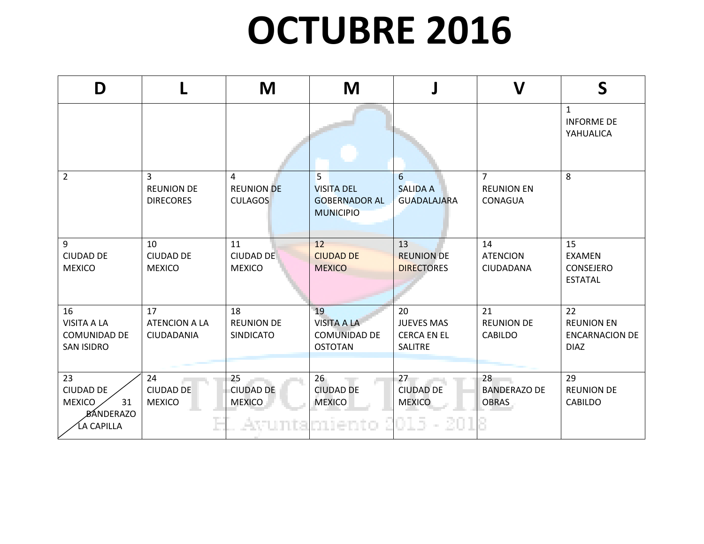## **OCTUBRE 2016**

| D                                                                               |                                                         | M                                           | M                                                                  |                                                                 | V                                              | S                                                               |
|---------------------------------------------------------------------------------|---------------------------------------------------------|---------------------------------------------|--------------------------------------------------------------------|-----------------------------------------------------------------|------------------------------------------------|-----------------------------------------------------------------|
|                                                                                 |                                                         |                                             |                                                                    |                                                                 |                                                | $\mathbf{1}$<br><b>INFORME DE</b><br>YAHUALICA                  |
| $\overline{2}$                                                                  | $\overline{3}$<br><b>REUNION DE</b><br><b>DIRECORES</b> | 4<br><b>REUNION DE</b><br><b>CULAGOS</b>    | 5<br><b>VISITA DEL</b><br><b>GOBERNADOR AL</b><br><b>MUNICIPIO</b> | $6 \overline{6}$<br><b>SALIDA A</b><br><b>GUADALAJARA</b>       | $\overline{7}$<br><b>REUNION EN</b><br>CONAGUA | 8                                                               |
| 9<br><b>CIUDAD DE</b><br><b>MEXICO</b>                                          | 10<br><b>CIUDAD DE</b><br><b>MEXICO</b>                 | 11<br><b>CIUDAD DE</b><br><b>MEXICO</b>     | 12<br><b>CIUDAD DE</b><br><b>MEXICO</b>                            | 13<br><b>REUNION DE</b><br><b>DIRECTORES</b>                    | 14<br><b>ATENCION</b><br><b>CIUDADANA</b>      | 15<br><b>EXAMEN</b><br><b>CONSEJERO</b><br><b>ESTATAL</b>       |
| 16<br><b>VISITA A LA</b><br><b>COMUNIDAD DE</b><br><b>SAN ISIDRO</b>            | 17<br><b>ATENCION A LA</b><br><b>CIUDADANIA</b>         | 18<br><b>REUNION DE</b><br><b>SINDICATO</b> | 19<br><b>VISITA A LA</b><br><b>COMUNIDAD DE</b><br><b>OSTOTAN</b>  | 20<br><b>JUEVES MAS</b><br><b>CERCA EN EL</b><br><b>SALITRE</b> | 21<br><b>REUNION DE</b><br><b>CABILDO</b>      | 22<br><b>REUNION EN</b><br><b>ENCARNACION DE</b><br><b>DIAZ</b> |
| 23<br><b>CIUDAD DE</b><br><b>MEXICO</b><br>31<br><b>BÁNDERAZO</b><br>ĹA CAPILLA | 24<br><b>CIUDAD DE</b><br><b>MEXICO</b>                 | 25<br><b>CIUDAD DE</b><br><b>MEXICO</b>     | $26 -$<br><b>CIUDAD DE</b><br><b>MEXICO</b><br>Avuntamiento        | 27<br><b>CIUDAD DE</b><br><b>MEXICO</b><br>OJ 5.<br>- 200       | 28<br><b>BANDERAZO DE</b><br><b>OBRAS</b>      | 29<br><b>REUNION DE</b><br><b>CABILDO</b>                       |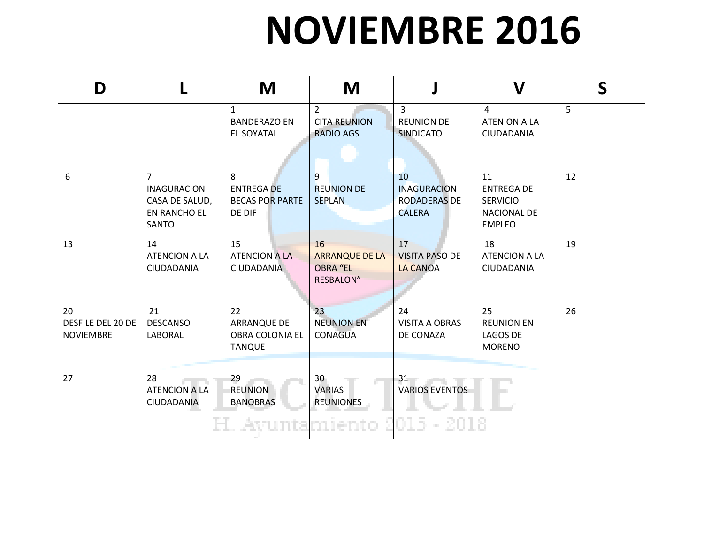## **NOVIEMBRE 2016**

| D                                                  |                                                                                        | M                                                          | M                                                                  |                                                                  | $\boldsymbol{\mathsf{V}}$                                                         | $\mathsf S$ |
|----------------------------------------------------|----------------------------------------------------------------------------------------|------------------------------------------------------------|--------------------------------------------------------------------|------------------------------------------------------------------|-----------------------------------------------------------------------------------|-------------|
|                                                    |                                                                                        | $\mathbf{1}$<br><b>BANDERAZO EN</b><br><b>EL SOYATAL</b>   | $\overline{2}$<br><b>CITA REUNION</b><br><b>RADIO AGS</b>          | $\overline{3}$<br><b>REUNION DE</b><br><b>SINDICATO</b>          | 4<br><b>ATENION A LA</b><br>CIUDADANIA                                            | 5           |
| 6                                                  | $\overline{7}$<br><b>INAGURACION</b><br>CASA DE SALUD,<br><b>EN RANCHO EL</b><br>SANTO | 8<br><b>ENTREGA DE</b><br><b>BECAS POR PARTE</b><br>DE DIF | 9<br><b>REUNION DE</b><br><b>SEPLAN</b>                            | 10<br><b>INAGURACION</b><br><b>RODADERAS DE</b><br><b>CALERA</b> | 11<br><b>ENTREGA DE</b><br><b>SERVICIO</b><br><b>NACIONAL DE</b><br><b>EMPLEO</b> | 12          |
| 13                                                 | 14<br><b>ATENCION A LA</b><br>CIUDADANIA                                               | 15<br><b>ATENCION A LA</b><br>CIUDADANIA                   | 16<br><b>ARRANQUE DE LA</b><br><b>OBRA "EL</b><br><b>RESBALON"</b> | 17<br><b>VISITA PASO DE</b><br><b>LA CANOA</b>                   | 18<br><b>ATENCION A LA</b><br>CIUDADANIA                                          | 19          |
| 20<br><b>DESFILE DEL 20 DE</b><br><b>NOVIEMBRE</b> | 21<br><b>DESCANSO</b><br>LABORAL                                                       | 22<br>ARRANQUE DE<br>OBRA COLONIA EL<br><b>TANQUE</b>      | 23<br><b>NEUNION EN</b><br><b>CONAGUA</b>                          | 24<br><b>VISITA A OBRAS</b><br>DE CONAZA                         | 25<br><b>REUNION EN</b><br><b>LAGOS DE</b><br><b>MORENO</b>                       | 26          |
| 27                                                 | 28<br><b>ATENCION A LA</b><br><b>CIUDADANIA</b>                                        | 29<br><b>REUNION</b><br><b>BANOBRAS</b>                    | 30<br><b>VARIAS</b><br><b>REUNIONES</b><br>Avuntamiento            | 31<br><b>VARIOS EVENTOS</b><br>- 201                             |                                                                                   |             |